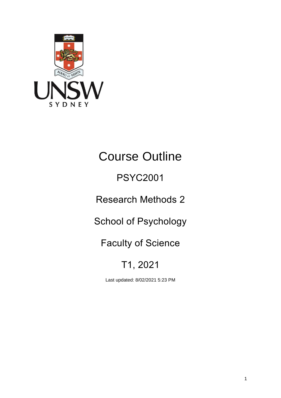

# Course Outline

## PSYC2001

Research Methods 2

School of Psychology

Faculty of Science

## T1, 2021

Last updated: 8/02/2021 5:23 PM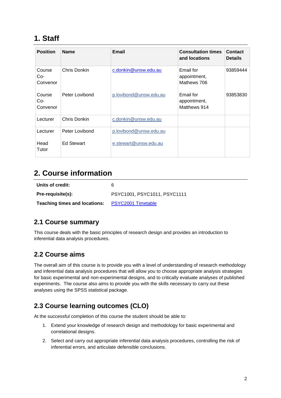## **1. Staff**

| <b>Position</b>           | <b>Name</b>       | Email                  | <b>Consultation times</b><br>and locations | Contact<br><b>Details</b> |
|---------------------------|-------------------|------------------------|--------------------------------------------|---------------------------|
| Course<br>Co-<br>Convenor | Chris Donkin      | c.donkin@unsw.edu.au   | Email for<br>appointment,<br>Mathews 706   | 93859444                  |
| Course<br>Co-<br>Convenor | Peter Lovibond    | p.lovibond@unsw.edu.au | Email for<br>appointment,<br>Matthews 914  | 93853830                  |
| Lecturer                  | Chris Donkin      | c.donkin@unsw.edu.au   |                                            |                           |
| Lecturer                  | Peter Lovibond    | p.lovibond@unsw.edu.au |                                            |                           |
| Head<br>Tutor             | <b>Ed Stewart</b> | e.stewart@unsw.edu.au  |                                            |                           |

## **2. Course information**

| Units of credit:                     | 6                            |
|--------------------------------------|------------------------------|
| Pre-requisite(s):                    | PSYC1001, PSYC1011, PSYC1111 |
| <b>Teaching times and locations:</b> | <b>PSYC2001 Timetable</b>    |

#### **2.1 Course summary**

This course deals with the basic principles of research design and provides an introduction to inferential data analysis procedures.

#### **2.2 Course aims**

The overall aim of this course is to provide you with a level of understanding of research methodology and inferential data analysis procedures that will allow you to choose appropriate analysis strategies for basic experimental and non-experimental designs, and to critically evaluate analyses of published experiments. The course also aims to provide you with the skills necessary to carry out these analyses using the SPSS statistical package.

## **2.3 Course learning outcomes (CLO)**

At the successful completion of this course the student should be able to:

- 1. Extend your knowledge of research design and methodology for basic experimental and correlational designs.
- 2. Select and carry out appropriate inferential data analysis procedures, controlling the risk of inferential errors, and articulate defensible conclusions.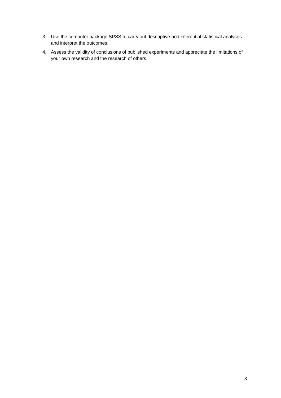- 3. Use the computer package SPSS to carry out descriptive and inferential statistical analyses and interpret the outcomes.
- 4. Assess the validity of conclusions of published experiments and appreciate the limitations of your own research and the research of others.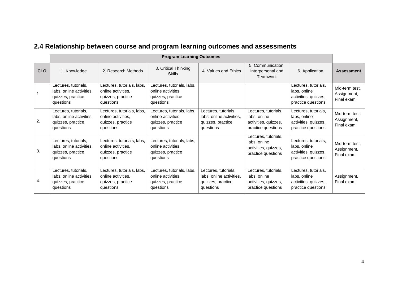|            | <b>Program Learning Outcomes</b>                                                   |                                                                                    |                                                                                    |                                                                                    |                                                                                    |                                                                                    |                                             |
|------------|------------------------------------------------------------------------------------|------------------------------------------------------------------------------------|------------------------------------------------------------------------------------|------------------------------------------------------------------------------------|------------------------------------------------------------------------------------|------------------------------------------------------------------------------------|---------------------------------------------|
| <b>CLO</b> | 1. Knowledge                                                                       | 2. Research Methods                                                                | 3. Critical Thinking<br><b>Skills</b>                                              | 4. Values and Ethics                                                               | 5. Communication,<br>Interpersonal and<br>Teamwork                                 | 6. Application                                                                     | <b>Assessment</b>                           |
|            | Lectures, tutorials,<br>labs, online activities,<br>quizzes, practice<br>questions | Lectures, tutorials, labs,<br>online activities,<br>quizzes, practice<br>questions | Lectures, tutorials, labs,<br>online activities,<br>quizzes, practice<br>questions |                                                                                    |                                                                                    | Lectures, tutorials,<br>labs, online<br>activities, quizzes,<br>practice questions | Mid-term test,<br>Assignment,<br>Final exam |
| 2.         | Lectures, tutorials,<br>labs, online activities,<br>quizzes, practice<br>questions | Lectures, tutorials, labs,<br>online activities.<br>quizzes, practice<br>questions | Lectures, tutorials, labs,<br>online activities.<br>quizzes, practice<br>questions | Lectures, tutorials,<br>labs, online activities,<br>quizzes, practice<br>questions | Lectures, tutorials,<br>labs, online<br>activities, quizzes,<br>practice questions | Lectures, tutorials,<br>labs, online<br>activities, quizzes,<br>practice questions | Mid-term test,<br>Assignment,<br>Final exam |
| 3.         | Lectures, tutorials,<br>labs, online activities,<br>quizzes, practice<br>questions | Lectures, tutorials, labs,<br>online activities,<br>quizzes, practice<br>questions | Lectures, tutorials, labs,<br>online activities,<br>quizzes, practice<br>questions |                                                                                    | Lectures, tutorials,<br>labs, online<br>activities, quizzes,<br>practice questions | Lectures, tutorials,<br>labs, online<br>activities, quizzes,<br>practice questions | Mid-term test,<br>Assignment,<br>Final exam |
| 4.         | Lectures, tutorials,<br>labs, online activities,<br>quizzes, practice<br>questions | Lectures, tutorials, labs,<br>online activities.<br>quizzes, practice<br>questions | Lectures, tutorials, labs,<br>online activities.<br>quizzes, practice<br>questions | Lectures, tutorials,<br>labs, online activities,<br>quizzes, practice<br>questions | Lectures, tutorials,<br>labs, online<br>activities, quizzes,<br>practice questions | Lectures, tutorials,<br>labs, online<br>activities, quizzes,<br>practice questions | Assignment,<br>Final exam                   |

## **2.4 Relationship between course and program learning outcomes and assessments**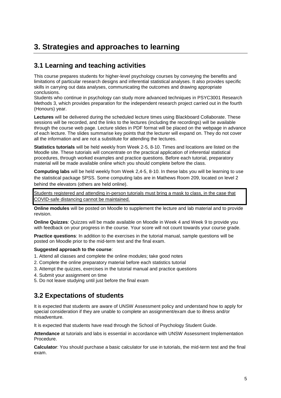## **3. Strategies and approaches to learning**

#### **3.1 Learning and teaching activities**

This course prepares students for higher-level psychology courses by conveying the benefits and limitations of particular research designs and inferential statistical analyses. It also provides specific skills in carrying out data analyses, communicating the outcomes and drawing appropriate conclusions.

Students who continue in psychology can study more advanced techniques in PSYC3001 Research Methods 3, which provides preparation for the independent research project carried out in the fourth (Honours) year.

**Lectures** will be delivered during the scheduled lecture times using Blackboard Collaborate. These sessions will be recorded, and the links to the lectures (including the recordings) will be available through the course web page. Lecture slides in PDF format will be placed on the webpage in advance of each lecture. The slides summarise key points that the lecturer will expand on. They do not cover all the information and are not a substitute for attending the lectures.

**Statistics tutorials** will be held weekly from Week 2-5, 8-10. Times and locations are listed on the Moodle site. These tutorials will concentrate on the practical application of inferential statistical procedures, through worked examples and practice questions. Before each tutorial, preparatory material will be made available online which you should complete before the class.

**Computing labs** will be held weekly from Week 2,4-5, 8-10. In these labs you will be learning to use the statistical package SPSS. Some computing labs are in Mathews Room 209, located on level 2 behind the elevators (others are held online).

Students registered and attending in-person tutorials must bring a mask to class, in the case that COVID-safe distancing cannot be maintained.

**Online modules** will be posted on Moodle to supplement the lecture and lab material and to provide revision.

**Online Quizzes**: Quizzes will be made available on Moodle in Week 4 and Week 9 to provide you with feedback on your progress in the course. Your score will not count towards your course grade.

**Practice questions**: In addition to the exercises in the tutorial manual, sample questions will be posted on Moodle prior to the mid-term test and the final exam.

#### **Suggested approach to the course**:

- 1. Attend all classes and complete the online modules; take good notes
- 2. Complete the online preparatory material before each statistics tutorial
- 3. Attempt the quizzes, exercises in the tutorial manual and practice questions
- 4. Submit your assignment on time
- 5. Do not leave studying until just before the final exam

#### **3.2 Expectations of students**

It is expected that students are aware of UNSW Assessment policy and understand how to apply for special consideration if they are unable to complete an assignment/exam due to illness and/or misadventure.

It is expected that students have read through the School of Psychology Student Guide.

**Attendance** at tutorials and labs is essential in accordance with UNSW Assessment Implementation Procedure.

**Calculator**: You should purchase a basic calculator for use in tutorials, the mid-term test and the final exam.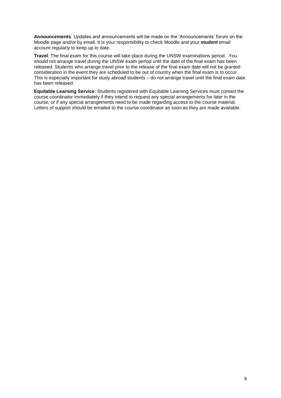**Announcements**: Updates and announcements will be made on the 'Announcements' forum on the Moodle page and/or by email. It is your responsibility to check Moodle and your **student** email account regularly to keep up to date.

**Travel**: The final exam for this course will take place during the UNSW examinations period. You should not arrange travel during the UNSW exam period until the date of the final exam has been released. Students who arrange travel prior to the release of the final exam date will not be granted consideration in the event they are scheduled to be out of country when the final exam is to occur. This is especially important for study abroad students – do not arrange travel until the final exam date has been released.

**Equitable Learning Service**: Students registered with Equitable Learning Services must contact the course coordinator immediately if they intend to request any special arrangements for later in the course, or if any special arrangements need to be made regarding access to the course material. Letters of support should be emailed to the course coordinator as soon as they are made available.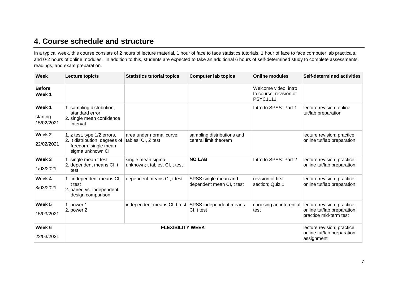## **4. Course schedule and structure**

In a typical week, this course consists of 2 hours of lecture material, 1 hour of face to face statistics tutorials, 1 hour of face to face computer lab practicals, and 0-2 hours of online modules. In addition to this, students are expected to take an additional 6 hours of self-determined study to complete assessments, readings, and exam preparation.

| <b>Week</b>                      | Lecture topic/s                                                                                          | <b>Statistics tutorial topics</b>                   | <b>Computer lab topics</b>                          | <b>Online modules</b>                                                    | <b>Self-determined activities</b>                                                    |
|----------------------------------|----------------------------------------------------------------------------------------------------------|-----------------------------------------------------|-----------------------------------------------------|--------------------------------------------------------------------------|--------------------------------------------------------------------------------------|
| <b>Before</b><br>Week 1          |                                                                                                          |                                                     |                                                     | Welcome video; intro<br>to course; revision of<br><b>PSYC1111</b>        |                                                                                      |
| Week 1<br>starting<br>15/02/2021 | 1. sampling distribution,<br>standard error<br>2. single mean confidence<br>interval                     |                                                     |                                                     | Intro to SPSS: Part 1                                                    | lecture revision; online<br>tut/lab preparation                                      |
| Week 2<br>22/02/2021             | 1. z test, type 1/2 errors,<br>2. t distribution, degrees of<br>freedom, single mean<br>sigma unknown CI | area under normal curve;<br>tables; CI, Z test      | sampling distributions and<br>central limit theorem |                                                                          | lecture revision; practice;<br>online tut/lab preparation                            |
| Week 3<br>1/03/2021              | 1. single mean t test<br>2. dependent means CI, t<br>test                                                | single mean sigma<br>unknown; t tables, CI, t test  | <b>NO LAB</b>                                       | Intro to SPSS: Part 2                                                    | lecture revision; practice;<br>online tut/lab preparation                            |
| Week 4<br>8/03/2021              | 1. independent means CI,<br>t test<br>2. paired vs. independent<br>design comparison                     | dependent means CI, t test                          | SPSS single mean and<br>dependent mean CI, t test   | revision of first<br>section; Quiz 1                                     | lecture revision; practice;<br>online tut/lab preparation                            |
| Week 5<br>15/03/2021             | 1. power 1<br>2. power 2                                                                                 | independent means CI, t test SPSS independent means | CI, t test                                          | choosing an inferential<br>test                                          | lecture revision; practice;<br>online tut/lab preparation;<br>practice mid-term test |
| Week 6<br>22/03/2021             | <b>FLEXIBILITY WEEK</b>                                                                                  |                                                     |                                                     | lecture revision; practice;<br>online tut/lab preparation;<br>assignment |                                                                                      |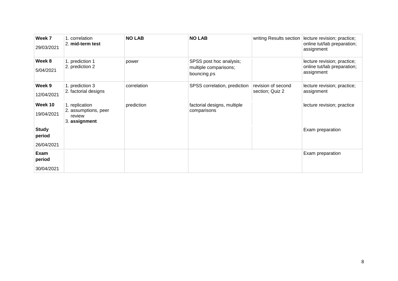| Week 7<br>29/03/2021                 | 1. correlation<br>2. mid-term test                                | <b>NO LAB</b> | <b>NO LAB</b>                                                   | writing Results section               | lecture revision; practice;<br>online tut/lab preparation;<br>assignment |
|--------------------------------------|-------------------------------------------------------------------|---------------|-----------------------------------------------------------------|---------------------------------------|--------------------------------------------------------------------------|
| Week 8<br>5/04/2021                  | 1. prediction 1<br>2. prediction 2                                | power         | SPSS post hoc analysis;<br>multiple comparisons;<br>bouncing ps |                                       | lecture revision; practice;<br>online tut/lab preparation;<br>assignment |
| Week 9<br>12/04/2021                 | 1. prediction 3<br>2. factorial designs                           | correlation   | SPSS correlation, prediction                                    | revision of second<br>section; Quiz 2 | lecture revision; practice;<br>assignment                                |
| Week 10<br>19/04/2021                | 1. replication<br>2. assumptions, peer<br>review<br>3. assignment | prediction    | factorial designs, multiple<br>comparisons                      |                                       | lecture revision; practice                                               |
| <b>Study</b><br>period<br>26/04/2021 |                                                                   |               |                                                                 |                                       | Exam preparation                                                         |
| Exam<br>period<br>30/04/2021         |                                                                   |               |                                                                 |                                       | Exam preparation                                                         |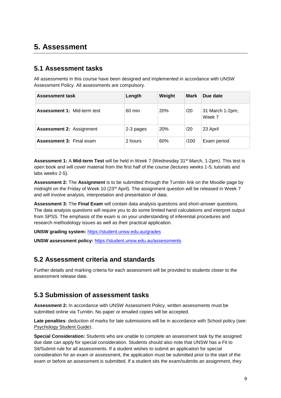## **5. Assessment**

#### **5.1 Assessment tasks**

All assessments in this course have been designed and implemented in accordance with UNSW Assessment Policy. All assessments are compulsory.

| <b>Assessment task</b>             | Length           | Weight     | <b>Mark</b> | Due date                  |
|------------------------------------|------------------|------------|-------------|---------------------------|
| <b>Assessment 1: Mid-term test</b> | $60 \text{ min}$ | <b>20%</b> | /20         | 31 March 1-2pm;<br>Week 7 |
| <b>Assessment 2: Assignment</b>    | 2-3 pages        | 20%        | /20         | 23 April                  |
| <b>Assessment 3: Final exam</b>    | 2 hours          | 60%        | /100        | Exam period               |

**Assessment 1:** A **Mid-term Test** will be held in Week 7 (Wednesday 31st March, 1-2pm). This test is open book and will cover material from the first half of the course (lectures weeks 1-5; tutorials and labs weeks 2-5).

**Assessment 2:** The **Assignment** is to be submitted through the Turnitin link on the Moodle page by midnight on the Friday of Week 10 (23rd April). The assignment question will be released in Week 7 and will involve analysis, interpretation and presentation of data.

**Assessment 3:** The **Final Exam** will contain data analysis questions and short-answer questions. The data analysis questions will require you to do some limited hand calculations and interpret output from SPSS. The emphasis of the exam is on your understanding of inferential procedures and research methodology issues as well as their practical application.

**UNSW grading system:** <https://student.unsw.edu.au/grades>

**UNSW assessment policy:** [https://student.unsw.edu.au/assessments](https://student.unsw.edu.au/assessment)

#### **5.2 Assessment criteria and standards**

Further details and marking criteria for each assessment will be provided to students closer to the assessment release date.

#### **5.3 Submission of assessment tasks**

**Assessment 2:** In accordance with UNSW Assessment Policy, written assessments must be submitted online via Turnitin. No paper or emailed copies will be accepted.

**Late penalties**: deduction of marks for late submissions will be in accordance with School policy (see: [Psychology Student Guide\)](https://moodle.telt.unsw.edu.au/mod/resource/view.php?id=1630526).

**Special Consideration:** Students who are unable to complete an assessment task by the assigned due date can apply for special consideration. Students should also note that UNSW has a Fit to Sit/Submit rule for all assessments. If a student wishes to submit an application for special consideration for an exam or assessment, the application must be submitted prior to the start of the exam or before an assessment is submitted. If a student sits the exam/submits an assignment, they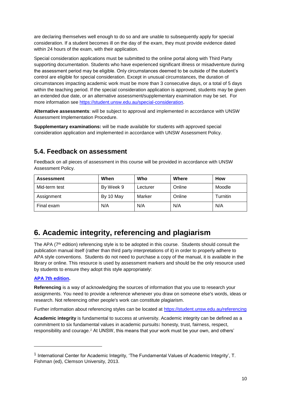are declaring themselves well enough to do so and are unable to subsequently apply for special consideration. If a student becomes ill on the day of the exam, they must provide evidence dated within 24 hours of the exam, with their application.

Special consideration applications must be submitted to the online portal along with Third Party supporting documentation. Students who have experienced significant illness or misadventure during the assessment period may be eligible. Only circumstances deemed to be outside of the student's control are eligible for special consideration. Except in unusual circumstances, the duration of circumstances impacting academic work must be more than 3 consecutive days, or a total of 5 days within the teaching period. If the special consideration application is approved, students may be given an extended due date, or an alternative assessment/supplementary examination may be set. For more information see [https://student.unsw.edu.au/special-consideration.](https://student.unsw.edu.au/special-consideration)

**Alternative assessments**: will be subject to approval and implemented in accordance with UNSW Assessment Implementation Procedure.

**Supplementary examinations:** will be made available for students with approved special consideration application and implemented in accordance with UNSW Assessment Policy.

#### **5.4. Feedback on assessment**

Feedback on all pieces of assessment in this course will be provided in accordance with UNSW Assessment Policy.

| <b>Assessment</b> | When      | Who      | Where  | <b>How</b> |
|-------------------|-----------|----------|--------|------------|
| Mid-term test     | By Week 9 | Lecturer | Online | Moodle     |
| Assignment        | By 10 May | Marker   | Online | Turnitin   |
| Final exam        | N/A       | N/A      | N/A    | N/A        |

## **6. Academic integrity, referencing and plagiarism**

The APA (7<sup>th</sup> edition) referencing style is to be adopted in this course. Students should consult the publication manual itself (rather than third party interpretations of it) in order to properly adhere to APA style conventions. Students do not need to purchase a copy of the manual, it is available in the library or online. This resource is used by assessment markers and should be the only resource used by students to ensure they adopt this style appropriately:

#### **[APA 7th edition.](http://www.apastyle.org/manual/index.aspx)**

l

**Referencing** is a way of acknowledging the sources of information that you use to research your assignments. You need to provide a reference whenever you draw on someone else's words, ideas or research. Not referencing other people's work can constitute plagiarism.

Further information about referencing styles can be located at<https://student.unsw.edu.au/referencing>

**Academic integrity** is fundamental to success at university. Academic integrity can be defined as a commitment to six fundamental values in academic pursuits**:** honesty, trust, fairness, respect, responsibility and courage.*<sup>1</sup>* At UNSW, this means that your work must be your own, and others'

<sup>&</sup>lt;sup>1</sup> International Center for Academic Integrity, 'The Fundamental Values of Academic Integrity', T. Fishman (ed), Clemson University, 2013.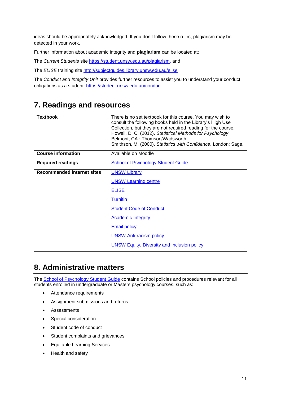ideas should be appropriately acknowledged. If you don't follow these rules, plagiarism may be detected in your work.

Further information about academic integrity and **plagiarism** can be located at:

The *Current Students* site<https://student.unsw.edu.au/plagiarism>*,* and

The *ELISE* training site<http://subjectguides.library.unsw.edu.au/elise>

The *Conduct and Integrity Unit* provides further resources to assist you to understand your conduct obligations as a student: [https://student.unsw.edu.au/conduct.](https://student.unsw.edu.au/conduct)

#### **7. Readings and resources**

| <b>Textbook</b>                   | There is no set textbook for this course. You may wish to<br>consult the following books held in the Library's High Use<br>Collection, but they are not required reading for the course.<br>Howell, D. C. (2012). Statistical Methods for Psychology.<br>Belmont, CA: Thomson/Wadsworth.<br>Smithson, M. (2000). Statistics with Confidence. London: Sage. |
|-----------------------------------|------------------------------------------------------------------------------------------------------------------------------------------------------------------------------------------------------------------------------------------------------------------------------------------------------------------------------------------------------------|
| <b>Course information</b>         | Available on Moodle                                                                                                                                                                                                                                                                                                                                        |
| <b>Required readings</b>          | School of Psychology Student Guide.                                                                                                                                                                                                                                                                                                                        |
| <b>Recommended internet sites</b> | <b>UNSW Library</b>                                                                                                                                                                                                                                                                                                                                        |
|                                   | <b>UNSW Learning centre</b>                                                                                                                                                                                                                                                                                                                                |
|                                   | <b>ELISE</b>                                                                                                                                                                                                                                                                                                                                               |
|                                   | <b>Turnitin</b>                                                                                                                                                                                                                                                                                                                                            |
|                                   | <b>Student Code of Conduct</b>                                                                                                                                                                                                                                                                                                                             |
|                                   | <b>Academic Integrity</b>                                                                                                                                                                                                                                                                                                                                  |
|                                   | <b>Email policy</b>                                                                                                                                                                                                                                                                                                                                        |
|                                   | <b>UNSW Anti-racism policy</b>                                                                                                                                                                                                                                                                                                                             |
|                                   | <b>UNSW Equity, Diversity and Inclusion policy</b>                                                                                                                                                                                                                                                                                                         |

## **8. Administrative matters**

The **School of Psychology Student Guide** contains School policies and procedures relevant for all students enrolled in undergraduate or Masters psychology courses, such as:

- Attendance requirements
- Assignment submissions and returns
- Assessments
- Special consideration
- Student code of conduct
- Student complaints and grievances
- Equitable Learning Services
- Health and safety